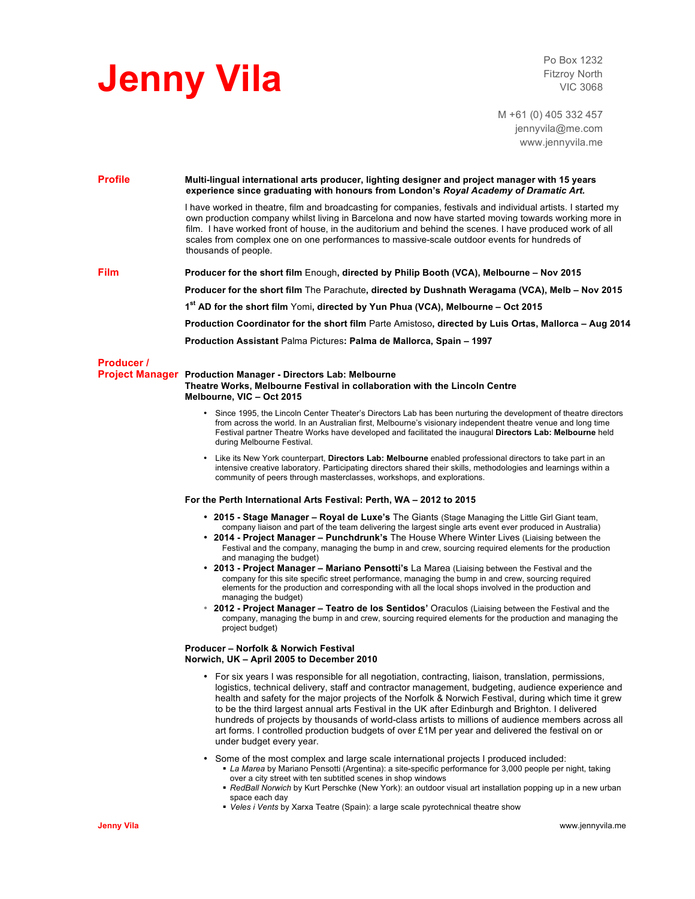# **Jenny Vila**

Po Box 1232 Fitzroy North VIC 3068

M +61 (0) 405 332 457 jennyvila@me.com www.jennyvila.me

**Profile Multi-lingual international arts producer, lighting designer and project manager with 15 years experience since graduating with honours from London's** *Royal Academy of Dramatic Art.* I have worked in theatre, film and broadcasting for companies, festivals and individual artists. I started my own production company whilst living in Barcelona and now have started moving towards working more in film. I have worked front of house, in the auditorium and behind the scenes. I have produced work of all scales from complex one on one performances to massive-scale outdoor events for hundreds of thousands of people. **Film Producer for the short film** Enough**, directed by Philip Booth (VCA), Melbourne – Nov 2015 Producer for the short film** The Parachute**, directed by Dushnath Weragama (VCA), Melb – Nov 2015 1st AD for the short film** Yomi**, directed by Yun Phua (VCA), Melbourne – Oct 2015 Production Coordinator for the short film** Parte Amistoso**, directed by Luis Ortas, Mallorca – Aug 2014 Production Assistant** Palma Pictures**: Palma de Mallorca, Spain – 1997 Producer / Project Manager Production Manager - Directors Lab: Melbourne Theatre Works, Melbourne Festival in collaboration with the Lincoln Centre Melbourne, VIC – Oct 2015** • Since 1995, the Lincoln Center Theater's Directors Lab has been nurturing the development of theatre directors from across the world. In an Australian first, Melbourne's visionary independent theatre venue and long time Festival partner Theatre Works have developed and facilitated the inaugural **Directors Lab: Melbourne** held during Melbourne Festival. • Like its New York counterpart, **Directors Lab: Melbourne** enabled professional directors to take part in an intensive creative laboratory. Participating directors shared their skills, methodologies and learnings within a community of peers through masterclasses, workshops, and explorations. **For the Perth International Arts Festival: Perth, WA – 2012 to 2015** • **2015 - Stage Manager – Royal de Luxe's** The Giants (Stage Managing the Little Girl Giant team, company liaison and part of the team delivering the largest single arts event ever produced in Australia) • **2014 - Project Manager – Punchdrunk's** The House Where Winter Lives (Liaising between the Festival and the company, managing the bump in and crew, sourcing required elements for the production and managing the budget) • **2013 - Project Manager – Mariano Pensotti's** La Marea (Liaising between the Festival and the company for this site specific street performance, managing the bump in and crew, sourcing required elements for the production and corresponding with all the local shops involved in the production and managing the budget) • **2012 - Project Manager – Teatro de los Sentidos'** Oraculos (Liaising between the Festival and the company, managing the bump in and crew, sourcing required elements for the production and managing the project budget) **Producer – Norfolk & Norwich Festival Norwich, UK – April 2005 to December 2010** • For six years I was responsible for all negotiation, contracting, liaison, translation, permissions, logistics, technical delivery, staff and contractor management, budgeting, audience experience and health and safety for the major projects of the Norfolk & Norwich Festival, during which time it grew to be the third largest annual arts Festival in the UK after Edinburgh and Brighton. I delivered hundreds of projects by thousands of world-class artists to millions of audience members across all art forms. I controlled production budgets of over £1M per year and delivered the festival on or under budget every year. • Some of the most complex and large scale international projects I produced included: § *La Marea* by Mariano Pensotti (Argentina): a site-specific performance for 3,000 people per night, taking over a city street with ten subtitled scenes in shop windows

- § *RedBall Norwich* by Kurt Perschke (New York): an outdoor visual art installation popping up in a new urban space each day
- § *Veles i Vents* by Xarxa Teatre (Spain): a large scale pyrotechnical theatre show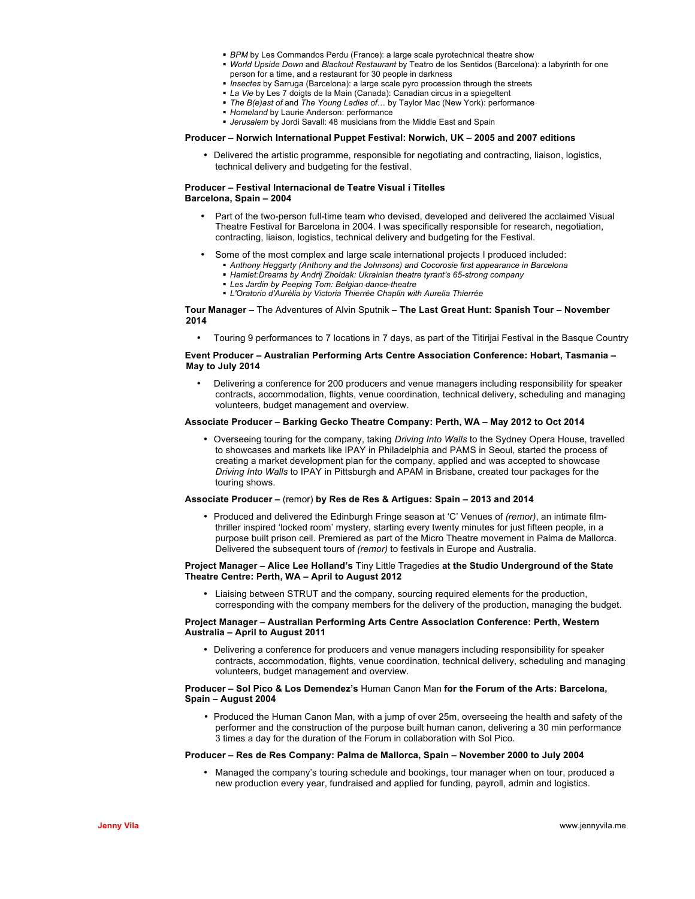- **BPM** by Les Commandos Perdu (France): a large scale pyrotechnical theatre show
- § *World Upside Down* and *Blackout Restaurant* by Teatro de los Sentidos (Barcelona): a labyrinth for one person for a time, and a restaurant for 30 people in darkness
- § *Insectes* by Sarruga (Barcelona): a large scale pyro procession through the streets
- § *La Vie* by Les 7 doigts de la Main (Canada): Canadian circus in a spiegeltent
- § *The B(e)ast of* and *The Young Ladies of*… by Taylor Mac (New York): performance
- § *Homeland* by Laurie Anderson: performance
- § *Jerusalem* by Jordi Savall: 48 musicians from the Middle East and Spain

#### **Producer – Norwich International Puppet Festival: Norwich, UK – 2005 and 2007 editions**

• Delivered the artistic programme, responsible for negotiating and contracting, liaison, logistics, technical delivery and budgeting for the festival.

#### **Producer – Festival Internacional de Teatre Visual i Titelles Barcelona, Spain – 2004**

- Part of the two-person full-time team who devised, developed and delivered the acclaimed Visual Theatre Festival for Barcelona in 2004. I was specifically responsible for research, negotiation, contracting, liaison, logistics, technical delivery and budgeting for the Festival.
- Some of the most complex and large scale international projects I produced included:
	- § *Anthony Heggarty (Anthony and the Johnsons) and Cocorosie first appearance in Barcelona*
	- § *Hamlet:Dreams by Andrij Zholdak: Ukrainian theatre tyrant's 65-strong company*
	- § *Les Jardin by Peeping Tom: Belgian dance-theatre*
	- § *L'Oratorio d'Aurélia by Victoria Thierrée Chaplin with Aurelia Thierrée*

#### **Tour Manager –** The Adventures of Alvin Sputnik **– The Last Great Hunt: Spanish Tour – November 2014**

• Touring 9 performances to 7 locations in 7 days, as part of the Titirijai Festival in the Basque Country

#### **Event Producer – Australian Performing Arts Centre Association Conference: Hobart, Tasmania – May to July 2014**

• Delivering a conference for 200 producers and venue managers including responsibility for speaker contracts, accommodation, flights, venue coordination, technical delivery, scheduling and managing volunteers, budget management and overview.

#### **Associate Producer – Barking Gecko Theatre Company: Perth, WA – May 2012 to Oct 2014**

• Overseeing touring for the company, taking *Driving Into Walls* to the Sydney Opera House, travelled to showcases and markets like IPAY in Philadelphia and PAMS in Seoul, started the process of creating a market development plan for the company, applied and was accepted to showcase *Driving Into Walls* to IPAY in Pittsburgh and APAM in Brisbane, created tour packages for the touring shows.

#### **Associate Producer –** (remor) **by Res de Res & Artigues: Spain – 2013 and 2014**

• Produced and delivered the Edinburgh Fringe season at 'C' Venues of *(remor)*, an intimate filmthriller inspired 'locked room' mystery, starting every twenty minutes for just fifteen people, in a purpose built prison cell. Premiered as part of the Micro Theatre movement in Palma de Mallorca. Delivered the subsequent tours of *(remor)* to festivals in Europe and Australia.

#### **Project Manager – Alice Lee Holland's** Tiny Little Tragedies **at the Studio Underground of the State Theatre Centre: Perth, WA – April to August 2012**

• Liaising between STRUT and the company, sourcing required elements for the production, corresponding with the company members for the delivery of the production, managing the budget.

#### **Project Manager – Australian Performing Arts Centre Association Conference: Perth, Western Australia – April to August 2011**

• Delivering a conference for producers and venue managers including responsibility for speaker contracts, accommodation, flights, venue coordination, technical delivery, scheduling and managing volunteers, budget management and overview.

#### **Producer – Sol Pico & Los Demendez's** Human Canon Man **for the Forum of the Arts: Barcelona, Spain – August 2004**

• Produced the Human Canon Man, with a jump of over 25m, overseeing the health and safety of the performer and the construction of the purpose built human canon, delivering a 30 min performance 3 times a day for the duration of the Forum in collaboration with Sol Pico.

#### **Producer – Res de Res Company: Palma de Mallorca, Spain – November 2000 to July 2004**

• Managed the company's touring schedule and bookings, tour manager when on tour, produced a new production every year, fundraised and applied for funding, payroll, admin and logistics.